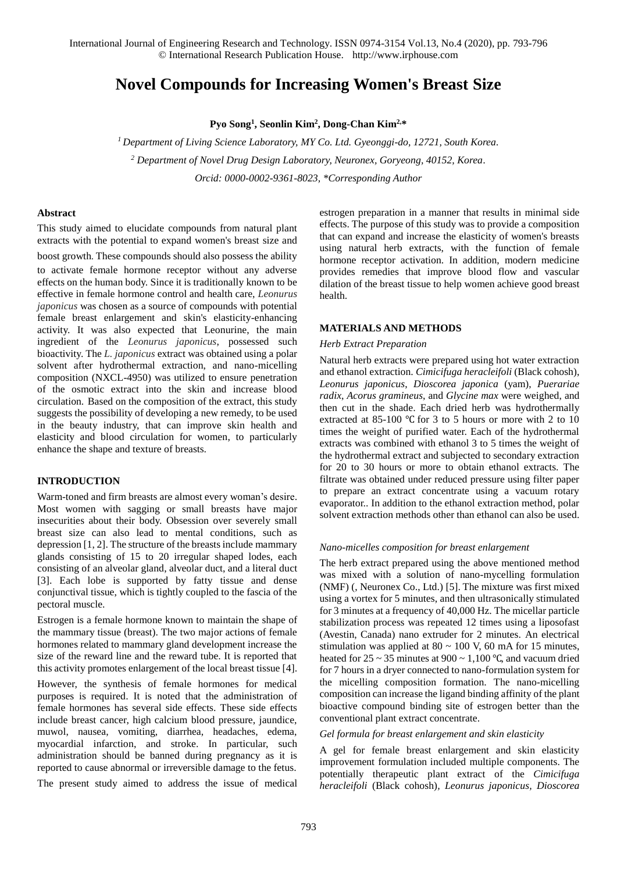International Journal of Engineering Research and Technology. ISSN 0974-3154 Vol.13, No.4 (2020), pp. 793-796 © International Research Publication House. [http://www.irphouse.com](http://www.irphouse.com/)

# **Novel Compounds for Increasing Women's Breast Size**

**Pyo Song<sup>1</sup> , Seonlin Kim<sup>2</sup> , Dong-Chan Kim2,\***

*<sup>1</sup> Department of Living Science Laboratory, MY Co. Ltd. Gyeonggi-do, 12721, South Korea. <sup>2</sup> Department of Novel Drug Design Laboratory, Neuronex, Goryeong, 40152, Korea. Orcid: 0000-0002-9361-8023, \*Corresponding Author*

## **Abstract**

This study aimed to elucidate compounds from natural plant extracts with the potential to expand women's breast size and

boost growth. These compounds should also possess the ability to activate female hormone receptor without any adverse effects on the human body. Since it is traditionally known to be effective in female hormone control and health care, *Leonurus japonicus* was chosen as a source of compounds with potential female breast enlargement and skin's elasticity-enhancing activity. It was also expected that Leonurine, the main ingredient of the *Leonurus japonicus*, possessed such bioactivity. The *L. japonicus* extract was obtained using a polar solvent after hydrothermal extraction, and nano-micelling composition (NXCL-4950) was utilized to ensure penetration of the osmotic extract into the skin and increase blood circulation. Based on the composition of the extract, this study suggests the possibility of developing a new remedy, to be used in the beauty industry, that can improve skin health and elasticity and blood circulation for women, to particularly enhance the shape and texture of breasts.

## **INTRODUCTION**

Warm-toned and firm breasts are almost every woman's desire. Most women with sagging or small breasts have major insecurities about their body. Obsession over severely small breast size can also lead to mental conditions, such as depression [1, 2]. The structure of the breasts include mammary glands consisting of 15 to 20 irregular shaped lodes, each consisting of an alveolar gland, alveolar duct, and a literal duct [3]. Each lobe is supported by fatty tissue and dense conjunctival tissue, which is tightly coupled to the fascia of the pectoral muscle.

Estrogen is a female hormone known to maintain the shape of the mammary tissue (breast). The two major actions of female hormones related to mammary gland development increase the size of the reward line and the reward tube. It is reported that this activity promotes enlargement of the local breast tissue [4].

However, the synthesis of female hormones for medical purposes is required. It is noted that the administration of female hormones has several side effects. These side effects include breast cancer, high calcium blood pressure, jaundice, muwol, nausea, vomiting, diarrhea, headaches, edema, myocardial infarction, and stroke. In particular, such administration should be banned during pregnancy as it is reported to cause abnormal or irreversible damage to the fetus.

The present study aimed to address the issue of medical

estrogen preparation in a manner that results in minimal side effects. The purpose of this study was to provide a composition that can expand and increase the elasticity of women's breasts using natural herb extracts, with the function of female hormone receptor activation. In addition, modern medicine provides remedies that improve blood flow and vascular dilation of the breast tissue to help women achieve good breast health.

## **MATERIALS AND METHODS**

#### *Herb Extract Preparation*

Natural herb extracts were prepared using hot water extraction and ethanol extraction. *Cimicifuga heracleifoli* (Black cohosh), *Leonurus japonicus*, *Dioscorea japonica* (yam), *Puerariae radix*, *Acorus gramineus*, and *Glycine max* were weighed, and then cut in the shade. Each dried herb was hydrothermally extracted at 85-100 ℃ for 3 to 5 hours or more with 2 to 10 times the weight of purified water. Each of the hydrothermal extracts was combined with ethanol 3 to 5 times the weight of the hydrothermal extract and subjected to secondary extraction for 20 to 30 hours or more to obtain ethanol extracts. The filtrate was obtained under reduced pressure using filter paper to prepare an extract concentrate using a vacuum rotary evaporator.. In addition to the ethanol extraction method, polar solvent extraction methods other than ethanol can also be used.

#### *Nano-micelles composition for breast enlargement*

The herb extract prepared using the above mentioned method was mixed with a solution of nano-mycelling formulation (NMF) (, Neuronex Co., Ltd.) [5]. The mixture was first mixed using a vortex for 5 minutes, and then ultrasonically stimulated for 3 minutes at a frequency of 40,000 Hz. The micellar particle stabilization process was repeated 12 times using a liposofast (Avestin, Canada) nano extruder for 2 minutes. An electrical stimulation was applied at  $80 \sim 100$  V, 60 mA for 15 minutes, heated for  $25 \sim 35$  minutes at  $900 \sim 1,100$  °C, and vacuum dried for 7 hours in a dryer connected to nano-formulation system for the micelling composition formation. The nano-micelling composition can increase the ligand binding affinity of the plant bioactive compound binding site of estrogen better than the conventional plant extract concentrate.

#### *Gel formula for breast enlargement and skin elasticity*

A gel for female breast enlargement and skin elasticity improvement formulation included multiple components. The potentially therapeutic plant extract of the *Cimicifuga heracleifoli* (Black cohosh)*, Leonurus japonicus, Dioscorea*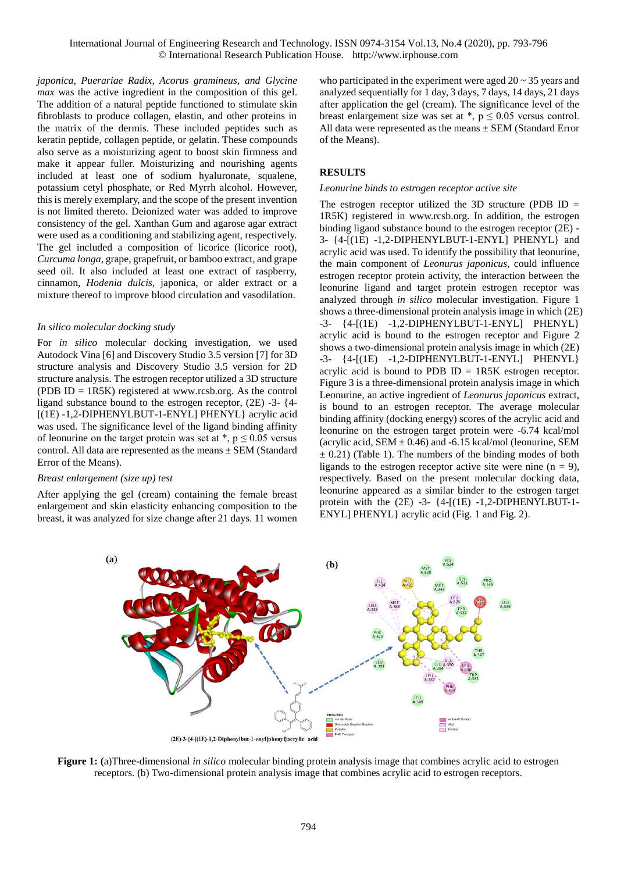*japonica, Puerariae Radix, Acorus gramineus, and Glycine max* was the active ingredient in the composition of this gel. The addition of a natural peptide functioned to stimulate skin fibroblasts to produce collagen, elastin, and other proteins in the matrix of the dermis. These included peptides such as keratin peptide, collagen peptide, or gelatin. These compounds also serve as a moisturizing agent to boost skin firmness and make it appear fuller. Moisturizing and nourishing agents included at least one of sodium hyaluronate, squalene, potassium cetyl phosphate, or Red Myrrh alcohol. However, this is merely exemplary, and the scope of the present invention is not limited thereto. Deionized water was added to improve consistency of the gel. Xanthan Gum and agarose agar extract were used as a conditioning and stabilizing agent, respectively. The gel included a composition of licorice (licorice root), *Curcuma longa*, grape, grapefruit, or bamboo extract, and grape seed oil. It also included at least one extract of raspberry, cinnamon, *Hodenia dulcis*, japonica, or alder extract or a mixture thereof to improve blood circulation and vasodilation.

## *In silico molecular docking study*

For *in silico* molecular docking investigation, we used Autodock Vina [6] and Discovery Studio 3.5 version [7] for 3D structure analysis and Discovery Studio 3.5 version for 2D structure analysis. The estrogen receptor utilized a 3D structure (PDB ID = 1R5K) registered at www.rcsb.org. As the control ligand substance bound to the estrogen receptor, (2E) -3- {4- [(1E) -1,2-DIPHENYLBUT-1-ENYL] PHENYL} acrylic acid was used. The significance level of the ligand binding affinity of leonurine on the target protein was set at  $\ast$ ,  $p \le 0.05$  versus control. All data are represented as the means ± SEM (Standard Error of the Means).

#### *Breast enlargement (size up) test*

After applying the gel (cream) containing the female breast enlargement and skin elasticity enhancing composition to the breast, it was analyzed for size change after 21 days. 11 women who participated in the experiment were aged  $20 \sim 35$  years and analyzed sequentially for 1 day, 3 days, 7 days, 14 days, 21 days after application the gel (cream). The significance level of the breast enlargement size was set at  $\ast$ ,  $p \leq 0.05$  versus control. All data were represented as the means ± SEM (Standard Error of the Means).

# **RESULTS**

#### *Leonurine binds to estrogen receptor active site*

The estrogen receptor utilized the 3D structure (PDB ID  $=$ 1R5K) registered in www.rcsb.org. In addition, the estrogen binding ligand substance bound to the estrogen receptor (2E) - 3- {4-[(1E) -1,2-DIPHENYLBUT-1-ENYL] PHENYL} and acrylic acid was used. To identify the possibility that leonurine, the main component of *Leonurus japonicus*, could influence estrogen receptor protein activity, the interaction between the leonurine ligand and target protein estrogen receptor was analyzed through *in silico* molecular investigation. Figure 1 shows a three-dimensional protein analysis image in which (2E) -3- {4-[(1E) -1,2-DIPHENYLBUT-1-ENYL] PHENYL} acrylic acid is bound to the estrogen receptor and Figure 2 shows a two-dimensional protein analysis image in which (2E) -3- {4-[(1E) -1,2-DIPHENYLBUT-1-ENYL] PHENYL} acrylic acid is bound to PDB  $ID = 1R5K$  estrogen receptor. Figure 3 is a three-dimensional protein analysis image in which Leonurine, an active ingredient of *Leonurus japonicus* extract, is bound to an estrogen receptor. The average molecular binding affinity (docking energy) scores of the acrylic acid and leonurine on the estrogen target protein were -6.74 kcal/mol (acrylic acid, SEM  $\pm$  0.46) and -6.15 kcal/mol (leonurine, SEM  $\pm$  0.21) (Table 1). The numbers of the binding modes of both ligands to the estrogen receptor active site were nine  $(n = 9)$ , respectively. Based on the present molecular docking data, leonurine appeared as a similar binder to the estrogen target protein with the  $(2E)$  -3-  $\{4-[1E)$  -1,2-DIPHENYLBUT-1-ENYL] PHENYL} acrylic acid (Fig. 1 and Fig. 2).



**Figure 1: (**a)Three-dimensional *in silico* molecular binding protein analysis image that combines acrylic acid to estrogen receptors. (b) Two-dimensional protein analysis image that combines acrylic acid to estrogen receptors.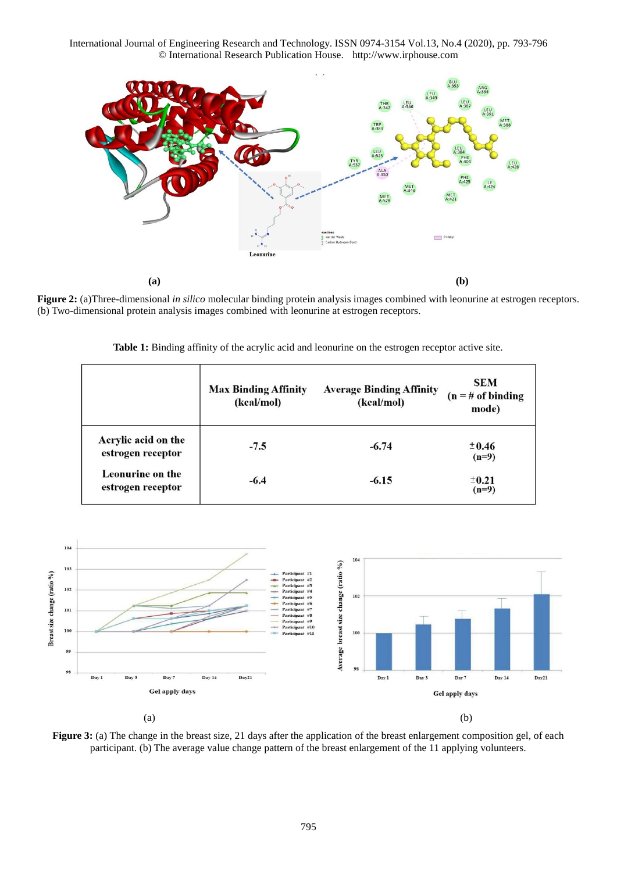International Journal of Engineering Research and Technology. ISSN 0974-3154 Vol.13, No.4 (2020), pp. 793-796 © International Research Publication House. [http://www.irphouse.com](http://www.irphouse.com/)



**Figure 2:** (a)Three-dimensional *in silico* molecular binding protein analysis images combined with leonurine at estrogen receptors. (b) Two-dimensional protein analysis images combined with leonurine at estrogen receptors.

**Table 1:** Binding affinity of the acrylic acid and leonurine on the estrogen receptor active site.

|                                          | <b>Max Binding Affinity</b><br>(kcal/mol) | <b>Average Binding Affinity</b><br>(kcal/mol) | <b>SEM</b><br>$(n = # of binding)$<br>mode) |
|------------------------------------------|-------------------------------------------|-----------------------------------------------|---------------------------------------------|
| Acrylic acid on the<br>estrogen receptor | $-7.5$                                    | $-6.74$                                       | ± 0.46<br>$(n=9)$                           |
| Leonurine on the<br>estrogen receptor    | $-6.4$                                    | $-6.15$                                       | ±0.21<br>$(n=9)$                            |



**Figure 3:** (a) The change in the breast size, 21 days after the application of the breast enlargement composition gel, of each participant. (b) The average value change pattern of the breast enlargement of the 11 applying volunteers.